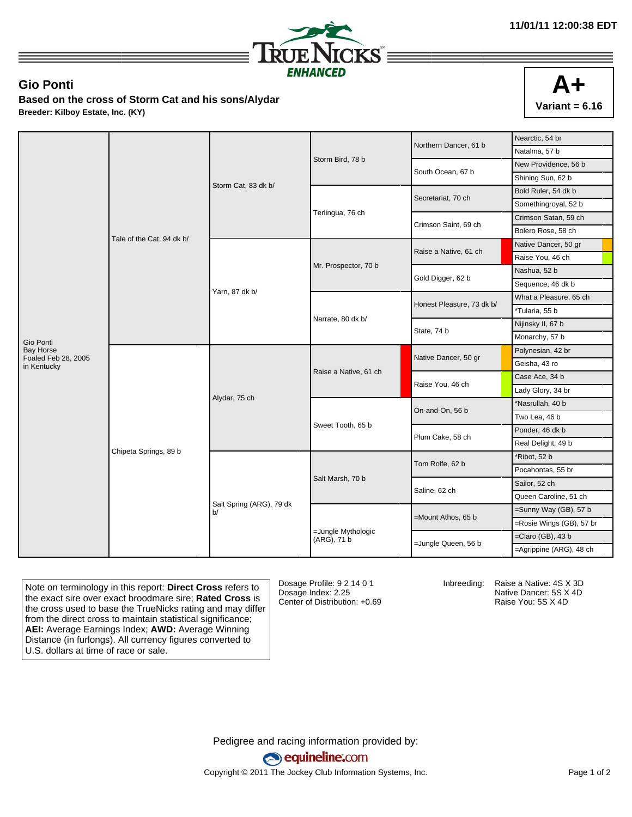

## **Gio Ponti**

**Based on the cross of Storm Cat and his sons/Alydar Breeder: Kilboy Estate, Inc. (KY)**

|                                    |                           | Storm Cat, 83 dk b/            |                                   | Northern Dancer, 61 b     | Nearctic, 54 br          |
|------------------------------------|---------------------------|--------------------------------|-----------------------------------|---------------------------|--------------------------|
|                                    |                           |                                |                                   |                           | Natalma, 57 b            |
|                                    |                           |                                | Storm Bird, 78 b                  | South Ocean, 67 b         | New Providence, 56 b     |
|                                    |                           |                                |                                   |                           | Shining Sun, 62 b        |
|                                    |                           |                                |                                   | Secretariat, 70 ch        | Bold Ruler, 54 dk b      |
|                                    |                           |                                | Terlingua, 76 ch                  |                           | Somethingroyal, 52 b     |
|                                    |                           |                                |                                   | Crimson Saint, 69 ch      | Crimson Satan, 59 ch     |
|                                    |                           |                                |                                   |                           | Bolero Rose, 58 ch       |
|                                    | Tale of the Cat, 94 dk b/ | Yarn, 87 dk b/                 | Mr. Prospector, 70 b              | Raise a Native, 61 ch     | Native Dancer, 50 gr     |
|                                    |                           |                                |                                   |                           | Raise You, 46 ch         |
|                                    |                           |                                |                                   | Gold Digger, 62 b         | Nashua, 52 b             |
|                                    |                           |                                |                                   |                           | Sequence, 46 dk b        |
|                                    |                           |                                | Narrate, 80 dk b/                 | Honest Pleasure, 73 dk b/ | What a Pleasure, 65 ch   |
|                                    |                           |                                |                                   |                           | *Tularia, 55 b           |
|                                    |                           |                                |                                   | State, 74 b               | Nijinsky II, 67 b        |
| Gio Ponti                          |                           |                                |                                   |                           | Monarchy, 57 b           |
| <b>Bay Horse</b>                   | Chipeta Springs, 89 b     | Alydar, 75 ch                  | Raise a Native, 61 ch             | Native Dancer, 50 gr      | Polynesian, 42 br        |
| Foaled Feb 28, 2005<br>in Kentucky |                           |                                |                                   |                           | Geisha, 43 ro            |
|                                    |                           |                                |                                   | Raise You, 46 ch          | Case Ace, 34 b           |
|                                    |                           |                                |                                   |                           | Lady Glory, 34 br        |
|                                    |                           |                                | Sweet Tooth, 65 b                 | On-and-On, 56 b           | *Nasrullah, 40 b         |
|                                    |                           |                                |                                   |                           | Two Lea, 46 b            |
|                                    |                           |                                |                                   | Plum Cake, 58 ch          | Ponder, 46 dk b          |
|                                    |                           |                                |                                   |                           | Real Delight, 49 b       |
|                                    |                           | Salt Spring (ARG), 79 dk<br>b/ | Salt Marsh, 70 b                  | Tom Rolfe, 62 b           | *Ribot, 52 b             |
|                                    |                           |                                |                                   |                           | Pocahontas, 55 br        |
|                                    |                           |                                |                                   | Saline, 62 ch             | Sailor, 52 ch            |
|                                    |                           |                                |                                   |                           | Queen Caroline, 51 ch    |
|                                    |                           |                                |                                   | =Mount Athos, 65 b        | =Sunny Way (GB), 57 b    |
|                                    |                           |                                | =Jungle Mythologic<br>(ARG), 71 b |                           | =Rosie Wings (GB), 57 br |
|                                    |                           |                                |                                   | =Jungle Queen, 56 b       | $=$ Claro (GB), 43 b     |
|                                    |                           |                                |                                   |                           | =Agrippine (ARG), 48 ch  |

Note on terminology in this report: **Direct Cross** refers to the exact sire over exact broodmare sire; **Rated Cross** is the cross used to base the TrueNicks rating and may differ from the direct cross to maintain statistical significance; **AEI:** Average Earnings Index; **AWD:** Average Winning Distance (in furlongs). All currency figures converted to U.S. dollars at time of race or sale.

Dosage Profile: 9 2 14 0 1 Dosage Index: 2.25 Center of Distribution: +0.69

Inbreeding: Raise a Native: 4S X 3D

Native Dancer: 5S X 4D Raise You: 5S X 4D

Pedigree and racing information provided by: equineline.com Copyright © 2011 The Jockey Club Information Systems, Inc. example 2012 Page 1 of 2